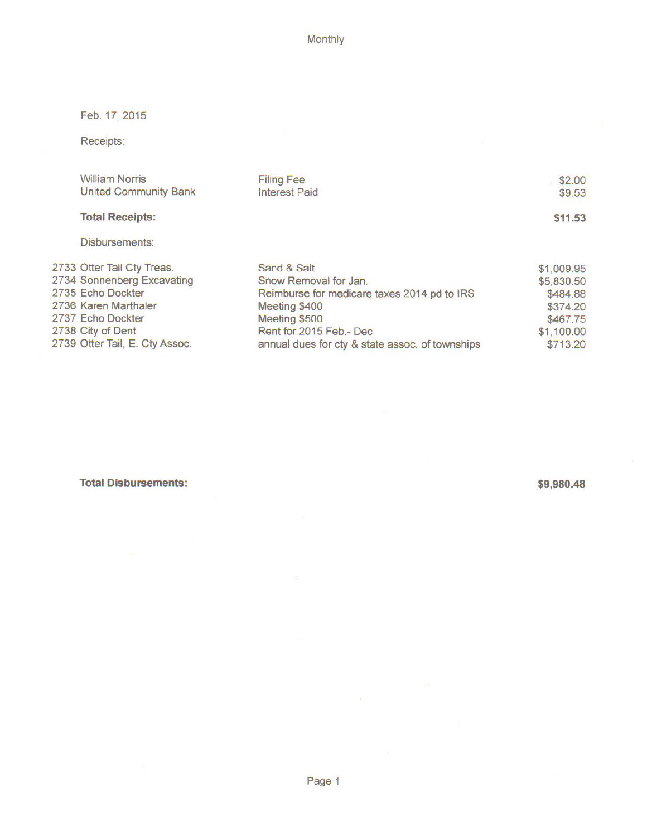Monthly

Feb. 17, 2015

Receipts:

| <b>William Norris</b>          | <b>Filing Fee</b>                               | \$2.00     |
|--------------------------------|-------------------------------------------------|------------|
| <b>United Community Bank</b>   | <b>Interest Paid</b>                            | \$9.53     |
| <b>Total Receipts:</b>         |                                                 | \$11.53    |
| Disbursements:                 |                                                 |            |
| 2733 Otter Tail Cty Treas.     | Sand & Salt                                     | \$1,009.95 |
| 2734 Sonnenberg Excavating     | Snow Removal for Jan.                           | \$5,830.50 |
| 2735 Echo Dockter              | Reimburse for medicare taxes 2014 pd to IRS     | \$484.88   |
| 2736 Karen Marthaler           | Meeting \$400                                   | \$374.20   |
| 2737 Echo Dockter              | Meeting \$500                                   | \$467.75   |
| 2738 City of Dent              | Rent for 2015 Feb. - Dec                        | \$1,100.00 |
| 2739 Otter Tail, E. Cty Assoc. | annual dues for cty & state assoc. of townships | \$713.20   |

**Total Disbursements:** 

\$9,980.48

 $\mathcal{L}^{\mathcal{C}}$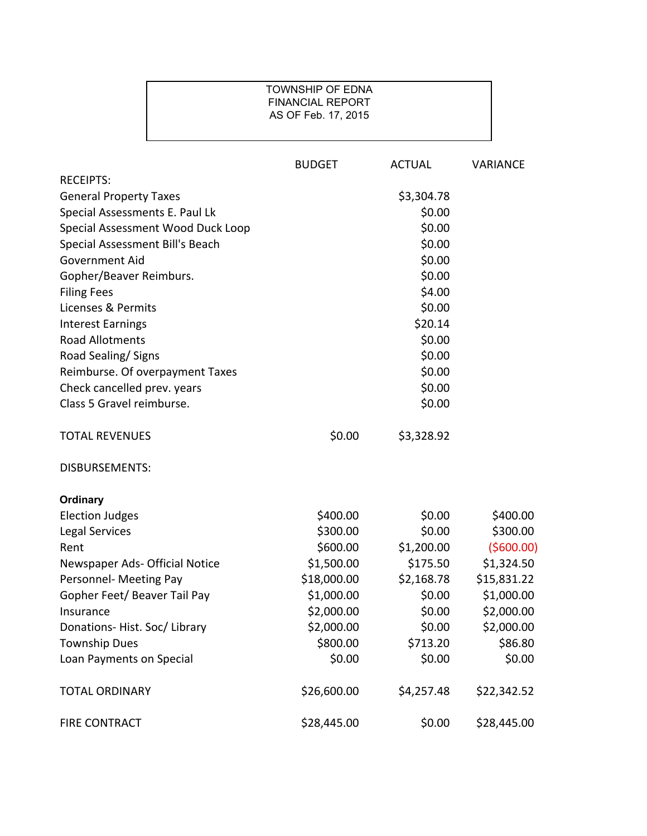## TOWNSHIP OF EDNA FINANCIAL REPORT AS OF Feb. 17, 2015

|                                   | <b>BUDGET</b> | <b>ACTUAL</b> | <b>VARIANCE</b> |
|-----------------------------------|---------------|---------------|-----------------|
| <b>RECEIPTS:</b>                  |               |               |                 |
| <b>General Property Taxes</b>     |               | \$3,304.78    |                 |
| Special Assessments E. Paul Lk    |               | \$0.00        |                 |
| Special Assessment Wood Duck Loop |               | \$0.00        |                 |
| Special Assessment Bill's Beach   |               | \$0.00        |                 |
| Government Aid                    |               | \$0.00        |                 |
| Gopher/Beaver Reimburs.           |               | \$0.00        |                 |
| <b>Filing Fees</b>                |               | \$4.00        |                 |
| Licenses & Permits                |               | \$0.00        |                 |
| <b>Interest Earnings</b>          |               | \$20.14       |                 |
| <b>Road Allotments</b>            |               | \$0.00        |                 |
| Road Sealing/Signs                |               | \$0.00        |                 |
| Reimburse. Of overpayment Taxes   |               | \$0.00        |                 |
| Check cancelled prev. years       |               | \$0.00        |                 |
| Class 5 Gravel reimburse.         |               | \$0.00        |                 |
| <b>TOTAL REVENUES</b>             | \$0.00        | \$3,328.92    |                 |
| <b>DISBURSEMENTS:</b>             |               |               |                 |
| Ordinary                          |               |               |                 |
| <b>Election Judges</b>            | \$400.00      | \$0.00        | \$400.00        |
| Legal Services                    | \$300.00      | \$0.00        | \$300.00        |
| Rent                              | \$600.00      | \$1,200.00    | (5600.00)       |
| Newspaper Ads- Official Notice    | \$1,500.00    | \$175.50      | \$1,324.50      |
| Personnel- Meeting Pay            | \$18,000.00   | \$2,168.78    | \$15,831.22     |
| Gopher Feet/ Beaver Tail Pay      | \$1,000.00    | \$0.00        | \$1,000.00      |
| Insurance                         | \$2,000.00    | \$0.00        | \$2,000.00      |
| Donations-Hist. Soc/Library       | \$2,000.00    | \$0.00        | \$2,000.00      |
| <b>Township Dues</b>              | \$800.00      | \$713.20      | \$86.80         |
| Loan Payments on Special          | \$0.00        | \$0.00        | \$0.00          |
| <b>TOTAL ORDINARY</b>             | \$26,600.00   | \$4,257.48    | \$22,342.52     |
| FIRE CONTRACT                     | \$28,445.00   | \$0.00        | \$28,445.00     |